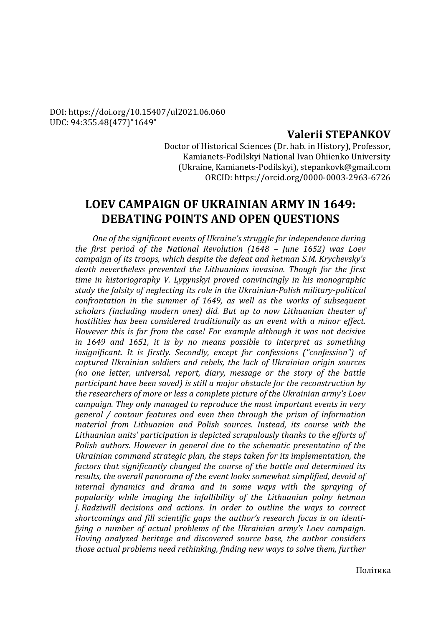#### DOI: https://doi.org/10.15407/ul2021.06.060 UDC: 94:355.48(477)"1649"

## **Valerii STEPANKOV**

Doctor of Historical Sciences (Dr. hab. in History), Professor, Kamianets-Podilskyi National Ivan Ohiienko University (Ukraine, Kamianets-Podilskyi), stepankovk@gmail.com ORCID: https://orcid.org/0000-0003-2963-6726

# **LOEV CAMPAIGN OF UKRAINIAN ARMY IN 1649: DEBATING POINTS AND OPEN QUESTIONS**

*One of the significant events of Ukraine's struggle for independence during the first period of the National Revolution (1648 – June 1652) was Loev campaign of its troops, which despite the defeat and hetman S.M. Krychevsky's death nevertheless prevented the Lithuanians invasion. Though for the first time in historiography V. Lypynskyі proved convincingly in his monographic study the falsity of neglecting its role in the Ukrainian-Polish military-political confrontation in the summer of 1649, as well as the works of subsequent scholars (including modern ones) did. But up to now Lithuanian theater of hostilities has been considered traditionally as an event with a minor effect. However this is far from the case! For example although it was not decisive in 1649 and 1651, it is by no means possible to interpret as something insignificant. It is firstly. Secondly, except for confessions ("confession") of captured Ukrainian soldiers and rebels, the lack of Ukrainian origin sources (no one letter, universal, report, diary, message or the story of the battle participant have been saved) is still a major obstacle for the reconstruction by the researchers of more or less a complete picture of the Ukrainian army's Loev campaign. They only managed to reproduce the most important events in very general / contour features and even then through the prism of information material from Lithuanian and Polish sources. Instead, its course with the Lithuanian units' participation is depicted scrupulously thanks to the efforts of Polish authors. However in general due to the schematic presentation of the Ukrainian command strategic plan, the steps taken for its implementation, the factors that significantly changed the course of the battle and determined its results, the overall panorama of the event looks somewhat simplified, devoid of internal dynamics and drama and in some ways with the spraying of popularity while imaging the infallibility of the Lithuanian polny hetman J. Radziwill decisions and actions. In order to outline the ways to correct shortcomings and fill scientific gaps the author's research focus is on identifying a number of actual problems of the Ukrainian army's Loev campaign. Having analyzed heritage and discovered source base, the author considers those actual problems need rethinking, finding new ways to solve them, further*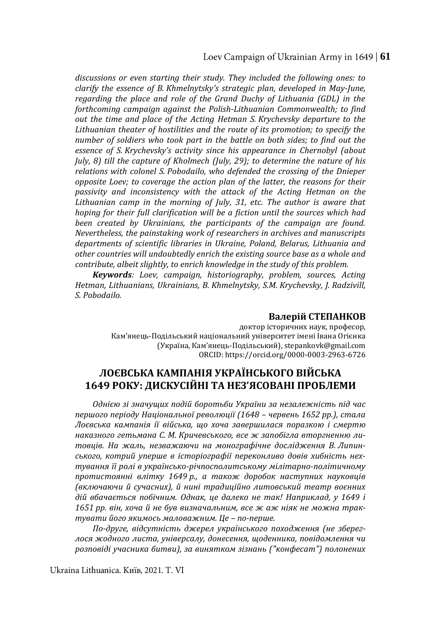Loev Campaign of Ukrainian Army in 1649 | **61** 

*discussions or even starting their study. They included the following ones: to clarify the essence of B. Khmelnytsky's strategic plan, developed in May-June, regarding the place and role of the Grand Duchy of Lithuania (GDL) in the forthcoming campaign against the Polish-Lithuanian Commonwealth; to find out the time and place of the Acting Hetman S. Krychevsky departure to the Lithuanian theater of hostilities and the route of its promotion; to specify the number of soldiers who took part in the battle on both sides; to find out the essence of S. Krychevsky's activity since his appearance in Chernobyl (about July, 8) till the capture of Kholmech (July, 29); to determine the nature of his relations with colonel S. Pobodailo, who defended the crossing of the Dnieper opposite Loev; to coverage the action plan of the latter, the reasons for their passivity and inconsistency with the attack of the Acting Hetman on the Lithuanian camp in the morning of July, 31, etc. The author is aware that hoping for their full clarification will be a fiction until the sources which had been created by Ukrainians, the participants of the campaign are found. Nevertheless, the painstaking work of researchers in archives and manuscripts departments of scientific libraries in Ukraine, Poland, Belarus, Lithuania and other countries will undoubtedly enrich the existing source base as a whole and contribute, albeit slightly, to enrich knowledge in the study of this problem.*

*Keywords: Loev, campaign, historiography, problem, sources, Acting Hetman, Lithuanians, Ukrainians, B. Khmelnytsky, S.M. Krychevsky, J. Radzivill, S. Pobodailo.*

#### **Валерій СТЕПАНКОВ**

доктор історичних наук, професор, Кам'янець-Подільський національний університет імені Івана Огієнка (Україна, Кам'янець-Подільський), stepankovk@gmail.com ORCID: https://orcid.org/0000-0003-2963-6726

## **ЛОЄВСЬКА КАМПАНІЯ УКРАЇНСЬКОГО ВІЙСЬКА 1649 РОКУ: ДИСКУСІЙНІ ТА НЕЗ'ЯСОВАНІ ПРОБЛЕМИ**

*Однією зі значущих подій боротьби України за незалежність під час першого періоду Національної революції (1648 – червень 1652 рр.), стала Лоєвська кампанія її війська, що хоча завершилася поразкою і смертю наказного гетьмана С. М. Кричевського, все ж запобігла вторгненню литовців. На жаль, незважаючи на монографічне дослідження В. Липинського, котрий уперше в історіографії переконливо довів хибність нехтування її ролі в українсько-річпосполитському мілітарно-політичному протистоянні влітку 1649 р., а також доробок наступних науковців (включаючи й сучасних), й нині традиційно литовський театр воєнних дій вбачається побічним. Однак, це далеко не так! Наприклад, у 1649 і 1651 рр. він, хоча й не був визначальним, все ж аж ніяк не можна трактувати його якимось маловажним. Це – по-перше.*

*По-друге, відсутність джерел українського походження (не збереглося жодного листа, універсалу, донесення, щоденника, повідомлення чи розповіді учасника битви), за винятком зізнань ("конфесат") полонених*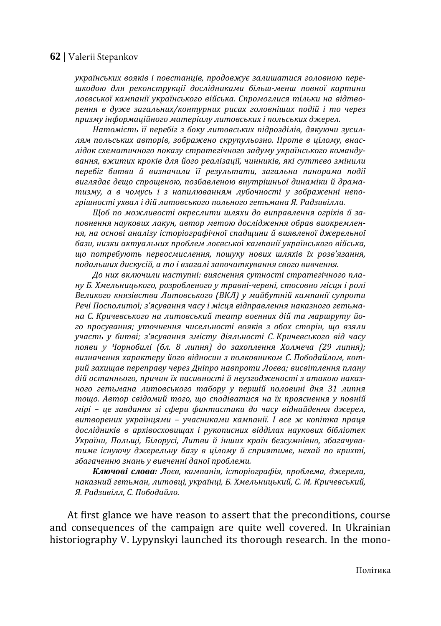*українських вояків і повстанців, продовжує залишатися головною перешкодою для реконструкції дослідниками більш-менш повної картини лоєвської кампанії українського війська. Спромоглися тільки на відтворення в дуже загальних/контурних рисах головніших подій і то через призму інформаційного матеріалу литовських і польських джерел.* 

*Натомість її перебіг з боку литовських підрозділів, дякуючи зусиллям польських авторів, зображено скрупульозно. Проте в цілому, внаслідок схематичного показу стратегічного задуму українського командування, вжитих кроків для його реалізації, чинників, які суттєво змінили перебіг битви й визначили її результати, загальна панорама події виглядає дещо спрощеною, позбавленою внутрішньої динаміки й драматизму, а в чомусь і з напилюванням лубочності у зображенні непогрішності ухвал і дій литовського польного гетьмана Я. Радзивілла.* 

*Щоб по можливості окреслити шляхи до виправлення огріхів й заповнення наукових лакун, автор метою дослідження обрав виокремлення, на основі аналізу історіографічної спадщини й виявленої джерельної бази, низки актуальних проблем лоєвської кампанії українського війська, що потребують переосмислення, пошуку нових шляхів їх розв'язання, подальших дискусій, а то і взагалі започаткування свого вивчення.* 

*До них включили наступні: вияснення сутності стратегічного плану Б. Хмельницького, розробленого у травні-червні, стосовно місця і ролі Великого князівства Литовського (ВКЛ) у майбутній кампанії супроти Речі Посполитої; з'ясування часу і місця відправлення наказного гетьмана С. Кричевського на литовський театр воєнних дій та маршруту його просування; уточнення чисельності вояків з обох сторін, що взяли участь у битві; з'ясування змісту діяльності С. Кричевського від часу появи у Чорнобилі (бл. 8 липня) до захоплення Холмеча (29 липня); визначення характеру його відносин з полковником С. Пободайлом, котрий захищав переправу через Дніпро навпроти Лоєва; висвітлення плану дій останнього, причин їх пасивності й неузгодженості з атакою наказного гетьмана литовського табору у першій половині дня 31 липня тощо. Автор свідомий того, що сподіватися на їх прояснення у повній мірі – це завдання зі сфери фантастики до часу віднайдення джерел, витворених українцями – учасниками кампанії. І все ж копітка праця дослідників в архівосховищах і рукописних відділах наукових бібліотек України, Польщі, Білорусі, Литви й інших країн безсумнівно, збагачуватиме існуючу джерельну базу в цілому й сприятиме, нехай по крихті, збагаченню знань у вивченні даної проблеми.*

*Ключові слова: Лоєв, кампанія, історіографія, проблема, джерела, наказний гетьман, литовці, українці, Б. Хмельницький, С. М. Кричевський, Я. Радзивілл, С. Пободайло.* 

At first glance we have reason to assert that the preconditions, course and consequences of the campaign are quite well covered. In Ukrainian historiography V. Lypynskyі launched its thorough research. In the mono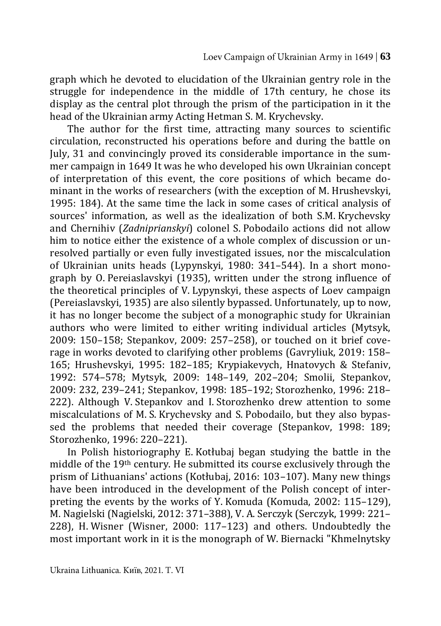graph which he devoted to elucidation of the Ukrainian gentry role in the struggle for independence in the middle of 17th century, he chose its display as the central plot through the prism of the participation in it the head of the Ukrainian army Acting Hetman S. M. Krychevsky.

The author for the first time, attracting many sources to scientific circulation, reconstructed his operations before and during the battle on July, 31 and convincingly proved its considerable importance in the summer campaign in 1649 It was he who developed his own Ukrainian concept of interpretation of this event, the core positions of which became dominant in the works of researchers (with the exception of M. Hrushevskyі, 1995: 184). At the same time the lack in some cases of critical analysis of sources' information, as well as the idealization of both S.M. Krychevsky and Chernihiv (*Zadniprianskyi*) colonel S. Pobodailo actions did not allow him to notice either the existence of a whole complex of discussion or unresolved partially or even fully investigated issues, nor the miscalculation of Ukrainian units heads (Lypynskyі, 1980: 341–544). In a short monograph by O. Pereiaslavskyi (1935), written under the strong influence of the theoretical principles of V. Lypynskyi, these aspects of Loev campaign (Pereiaslavskyi, 1935) are also silently bypassed. Unfortunately, up to now, it has no longer become the subject of a monographic study for Ukrainian authors who were limited to either writing individual articles (Mytsyk, 2009: 150–158; Stepankov, 2009: 257–258), or touched on it brief coverage in works devoted to clarifying other problems (Gavryliuk, 2019: 158– 165; Hrushevskyi, 1995: 182–185; Krypiakevych, Hnatovych & Stefaniv, 1992: 574–578; Mytsyk, 2009: 148–149, 202–204; Smolii, Stepankov, 2009: 232, 239–241; Stepankov, 1998: 185–192; Storozhenko, 1996: 218– 222). Although V. Stepankov and I. Storozhenko drew attention to some miscalculations of M. S. Krychevsky and S. Pobodailo, but they also bypassed the problems that needed their coverage (Stepankov, 1998: 189; Storozhenko, 1996: 220–221).

In Polish historiography E. Kotłubaj began studying the battle in the middle of the 19th century. He submitted its course exclusively through the prism of Lithuanians' actions (Kotłubaj, 2016: 103–107). Many new things have been introduced in the development of the Polish concept of interpreting the events by the works of Y. Komuda (Komuda, 2002: 115–129), M. Nagielski (Nagielski, 2012: 371–388), V. A. Serczyk (Serczyk, 1999: 221– 228), H. Wisner (Wisner, 2000: 117–123) and others. Undoubtedly the most important work in it is the monograph of W. Biernacki "Khmelnytsky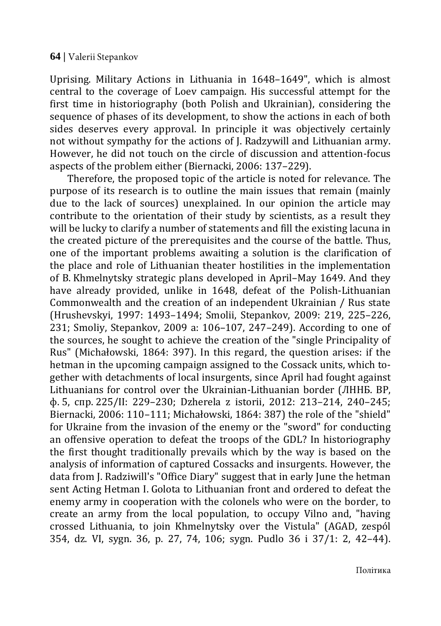Uprising. Military Actions in Lithuania in 1648–1649", which is almost central to the coverage of Loev campaign. His successful attempt for the first time in historiography (both Polish and Ukrainian), considering the sequence of phases of its development, to show the actions in each of both sides deserves every approval. In principle it was objectively certainly not without sympathy for the actions of J. Radzywill and Lithuanian army. However, he did not touch on the circle of discussion and attention-focus aspects of the problem either (Biernacki, 2006: 137–229).

Therefore, the proposed topic of the article is noted for relevance. The purpose of its research is to outline the main issues that remain (mainly due to the lack of sources) unexplained. In our opinion the article may contribute to the orientation of their study by scientists, as a result they will be lucky to clarify a number of statements and fill the existing lacuna in the created picture of the prerequisites and the course of the battle. Thus, one of the important problems awaiting a solution is the clarification of the place and role of Lithuanian theater hostilities in the implementation of B. Khmelnytsky strategic plans developed in April–May 1649. And they have already provided, unlike in 1648, defeat of the Polish-Lithuanian Commonwealth and the creation of an independent Ukrainian / Rus state (Hrushevskyi, 1997: 1493–1494; Smolii, Stepankov, 2009: 219, 225–226, 231; Smoliy, Stepankov, 2009 a: 106–107, 247–249). According to one of the sources, he sought to achieve the creation of the "single Principality of Rus" (Michałowski, 1864: 397). In this regard, the question arises: if the hetman in the upcoming campaign assigned to the Cossack units, which together with detachments of local insurgents, since April had fought against Lithuanians for control over the Ukrainian-Lithuanian border (ЛННБ. ВР, ф. 5, спр. 225/ІІ: 229–230; Dzherela z istorii, 2012: 213–214, 240–245; Biernacki, 2006: 110–111; Michałowski, 1864: 387) the role of the "shield" for Ukraine from the invasion of the enemy or the "sword" for conducting an offensive operation to defeat the troops of the GDL? In historiography the first thought traditionally prevails which by the way is based on the analysis of information of captured Cossacks and insurgents. However, the data from J. Radziwill's "Office Diary" suggest that in early June the hetman sent Acting Hetman I. Golota to Lithuanian front and ordered to defeat the enemy army in cooperation with the colonels who were on the border, to create an army from the local population, to occupy Vilno and, "having crossed Lithuania, to join Khmelnytsky over the Vistula" (AGAD, zespól 354, dz. VI, sygn. 36, p. 27, 74, 106; sygn. Pudlo 36 i 37/1: 2, 42–44).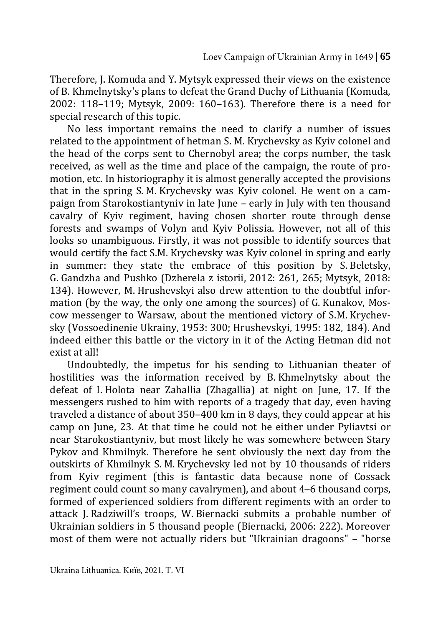Therefore, J. Komuda and Y. Mytsyk expressed their views on the existence of B. Khmelnytsky's plans to defeat the Grand Duchy of Lithuania (Komuda, 2002: 118–119; Mytsyk, 2009: 160–163). Therefore there is a need for special research of this topic.

No less important remains the need to clarify a number of issues related to the appointment of hetman S. M. Krychevsky as Kyiv colonel and the head of the corps sent to Chernobyl area; the corps number, the task received, as well as the time and place of the campaign, the route of promotion, etc. In historiography it is almost generally accepted the provisions that in the spring S. M. Krychevsky was Kyiv colonel. He went on a campaign from Starokostiantyniv in late June – early in July with ten thousand cavalry of Kyiv regiment, having chosen shorter route through dense forests and swamps of Volyn and Kyiv Polissia. However, not all of this looks so unambiguous. Firstly, it was not possible to identify sources that would certify the fact S.M. Krychevsky was Kyiv colonel in spring and early in summer: they state the embrace of this position by S. Beletsky, G. Gandzha and Pushko (Dzherela z istorii, 2012: 261, 265; Mytsyk, 2018: 134). However, M. Hrushevskyi also drew attention to the doubtful information (by the way, the only one among the sources) of G. Kunakov, Moscow messenger to Warsaw, about the mentioned victory of S.M. Krychevsky (Vossoedinenie Ukrainy, 1953: 300; Hrushevskyi, 1995: 182, 184). And indeed either this battle or the victory in it of the Acting Hetman did not exist at all!

Undoubtedly, the impetus for his sending to Lithuanian theater of hostilities was the information received by B. Khmelnytsky about the defeat of I. Holota near Zahallia (Zhagallia) at night on June, 17. If the messengers rushed to him with reports of a tragedy that day, even having traveled a distance of about 350–400 km in 8 days, they could appear at his camp on June, 23. At that time he could not be either under Pyliavtsi or near Starokostiantyniv, but most likely he was somewhere between Stary Pykov and Khmilnyk. Therefore he sent obviously the next day from the outskirts of Khmilnyk S. M. Krychevsky led not by 10 thousands of riders from Kyiv regiment (this is fantastic data because none of Cossack regiment could count so many cavalrymen), and about 4–6 thousand corps, formed of experienced soldiers from different regiments with an order to attack J. Radziwill's troops, W. Biernacki submits a probable number of Ukrainian soldiers in 5 thousand people (Biernacki, 2006: 222). Moreover most of them were not actually riders but "Ukrainian dragoons" – "horse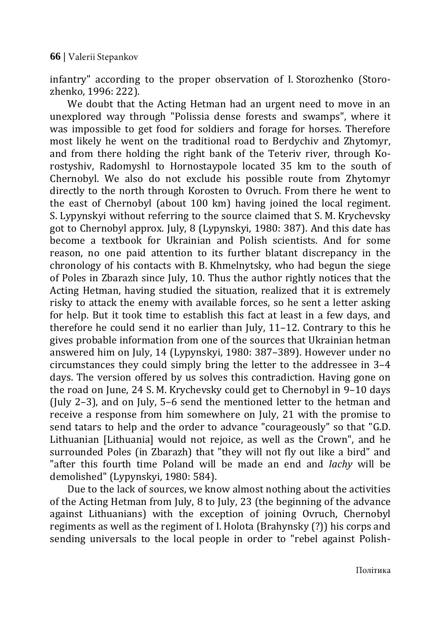infantry" according to the proper observation of I. Storozhenko (Storozhenko, 1996: 222).

We doubt that the Acting Hetman had an urgent need to move in an unexplored way through "Polissia dense forests and swamps", where it was impossible to get food for soldiers and forage for horses. Therefore most likely he went on the traditional road to Berdychiv and Zhytomyr, and from there holding the right bank of the Teteriv river, through Korostyshiv, Radomyshl to Hornostaypole located 35 km to the south of Chernobyl. We also do not exclude his possible route from Zhytomyr directly to the north through Korosten to Ovruch. From there he went to the east of Chernobyl (about 100 km) having joined the local regiment. S. Lypynskyi without referring to the source claimed that S. M. Krychevsky got to Chernobyl approx. July, 8 (Lypynskyi, 1980: 387). And this date has become a textbook for Ukrainian and Polish scientists. And for some reason, no one paid attention to its further blatant discrepancy in the chronology of his contacts with B. Khmelnytsky, who had begun the siege of Poles in Zbarazh since July, 10. Thus the author rightly notices that the Acting Hetman, having studied the situation, realized that it is extremely risky to attack the enemy with available forces, so he sent a letter asking for help. But it took time to establish this fact at least in a few days, and therefore he could send it no earlier than July, 11–12. Contrary to this he gives probable information from one of the sources that Ukrainian hetman answered him on July, 14 (Lypynskyi, 1980: 387–389). However under no circumstances they could simply bring the letter to the addressee in 3–4 days. The version offered by us solves this contradiction. Having gone on the road on June, 24 S. M. Krychevsky could get to Chernobyl in 9–10 days (July 2–3), and on July, 5–6 send the mentioned letter to the hetman and receive a response from him somewhere on July, 21 with the promise to send tatars to help and the order to advance "courageously" so that "G.D. Lithuanian [Lithuania] would not rejoice, as well as the Crown", and he surrounded Poles (in Zbarazh) that "they will not fly out like a bird" and "after this fourth time Poland will be made an end and *laсhy* will be demolished" (Lypynskyi, 1980: 584).

Due to the lack of sources, we know almost nothing about the activities of the Acting Hetman from July, 8 to July, 23 (the beginning of the advance against Lithuanians) with the exception of joining Ovruch, Chernobyl regiments as well as the regiment of I. Holota (Brahynsky (?)) his corps and sending universals to the local people in order to "rebel against Polish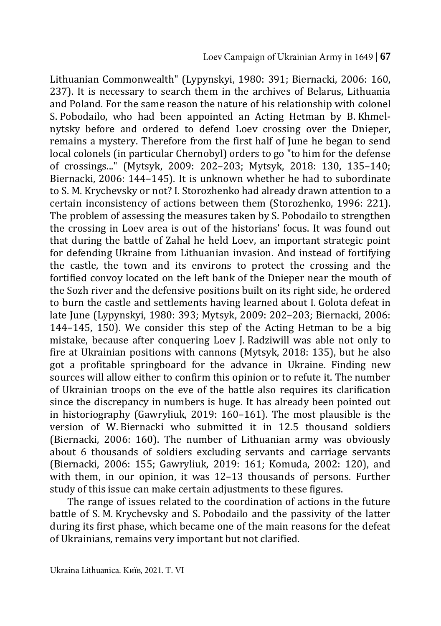Lithuanian Commonwealth" (Lypynskyi, 1980: 391; Biernacki, 2006: 160, 237). It is necessary to search them in the archives of Belarus, Lithuania and Poland. For the same reason the nature of his relationship with colonel S. Pobodailo, who had been appointed an Acting Hetman by B. Khmelnytsky before and ordered to defend Loev crossing over the Dnieper, remains a mystery. Therefore from the first half of June he began to send local colonels (in particular Chernobyl) orders to go "to him for the defense of crossings..." (Mytsyk, 2009: 202–203; Mytsyk, 2018: 130, 135–140; Biernacki, 2006: 144–145). It is unknown whether he had to subordinate to S. M. Krychevsky or not? I. Storozhenko had already drawn attention to a certain inconsistency of actions between them (Storozhenko, 1996: 221). The problem of assessing the measures taken by S. Pobodailo to strengthen the crossing in Loev area is out of the historians' focus. It was found out that during the battle of Zahal he held Loev, an important strategic point for defending Ukraine from Lithuanian invasion. And instead of fortifying the castle, the town and its environs to protect the crossing and the fortified convoy located on the left bank of the Dnieper near the mouth of the Sozh river and the defensive positions built on its right side, he ordered to burn the castle and settlements having learned about I. Golota defeat in late June (Lypynskyi, 1980: 393; Mytsyk, 2009: 202–203; Biernacki, 2006: 144–145, 150). We consider this step of the Acting Hetman to be a big mistake, because after conquering Loev J. Radziwill was able not only to fire at Ukrainian positions with cannons (Mytsyk, 2018: 135), but he also got a profitable springboard for the advance in Ukraine. Finding new sources will allow either to confirm this opinion or to refute it. The number of Ukrainian troops on the eve of the battle also requires its clarification since the discrepancy in numbers is huge. It has already been pointed out in historiography (Gawryliuk, 2019: 160–161). The most plausible is the version of W. Biernacki who submitted it in 12.5 thousand soldiers (Biernacki, 2006: 160). The number of Lithuanian army was obviously about 6 thousands of soldiers excluding servants and carriage servants (Biernacki, 2006: 155; Gawryliuk, 2019: 161; Komuda, 2002: 120), and with them, in our opinion, it was 12–13 thousands of persons. Further study of this issue can make certain adjustments to these figures.

The range of issues related to the coordination of actions in the future battle of S. M. Krychevsky and S. Pobodailo and the passivity of the latter during its first phase, which became one of the main reasons for the defeat of Ukrainians, remains very important but not clarified.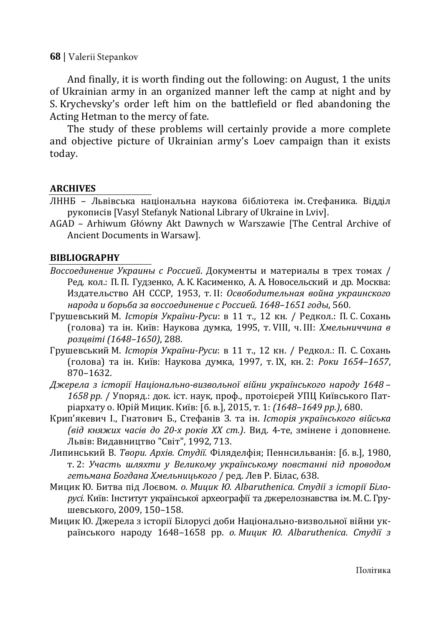And finally, it is worth finding out the following: on August, 1 the units of Ukrainian army in an organized manner left the camp at night and by S. Krychevsky's order left him on the battlefield or fled abandoning the Acting Hetman to the mercy of fate.

The study of these problems will certainly provide a more complete and objective picture of Ukrainian army's Loev campaign than it exists today.

### **ARCHIVES**

- ЛННБ Львівська національна наукова бібліотека ім. Стефаника. Відділ рукописів [Vasyl Stefanyk National Library of Ukraine in Lviv].
- AGAD Arhiwum Główny Akt Dawnych w Warszawie [The Central Archive of Ancient Documents in Warsaw].

#### **BIBLIOGRAPHY**

- *Воссоединение Украины с Россией*. Документы и материалы в трех томах / Ред. кол.: П. П. Гудзенко, А. К. Касименко, А. А. Новосельский и др. Москва: Издательство АН СССР, 1953, т. ІІ: *Освободительная война украинского народа и борьба за воссоединение с Россией. 1648–1651 годы*, 560.
- Грушевський М. *Історія України-Руси*: в 11 т., 12 кн. / Редкол.: П. С. Сохань (голова) та ін. Київ: Наукова думка, 1995, т. VIII, ч. ІІІ: *Хмельниччина в розцвіті (1648–1650)*, 288.
- Грушевський М. *Історія України-Руси*: в 11 т., 12 кн. / Редкол.: П. С. Сохань (голова) та ін. Київ: Наукова думка, 1997, т. ІХ, кн. 2: *Роки 1654–1657*, 870–1632.
- *Джерела з історії Національно-визвольної війни українського народу 1648 – 1658 рр.* / Упоряд.: док. іст. наук, проф., протоієрей УПЦ Київського Патріархату о. Юрій Мицик. Київ: [б. в.], 2015, т. 1: *(1648–1649 рр.)*, 680.
- Крип'якевич І., Гнатович Б., Стефанів З. та ін. *Історія українського війська (від княжих часів до 20-х років ХХ ст.)*. Вид. 4-те, змінене і доповнене. Львів: Видавництво "Світ", 1992, 713.
- Липинський В. *Твори. Архів. Студії.* Філяделфія; Пеннсильванія: [б. в.], 1980, т. 2: *Участь шляхти у Великому українському повстанні під проводом гетьмана Богдана Хмельницького* / ред. Лев Р. Білас, 638.
- Мицик Ю. Битва під Лоєвом. *о. Мицик Ю. Albaruthenica. Студії з історії Білорусі.* Київ: Інститут української археографії та джерелознавства ім. М. С. Грушевського, 2009, 150–158.
- Мицик Ю. Джерела з історії Білорусі доби Національно-визвольної війни українського народу 1648–1658 рр. *о. Мицик Ю. Albaruthenica. Студії з*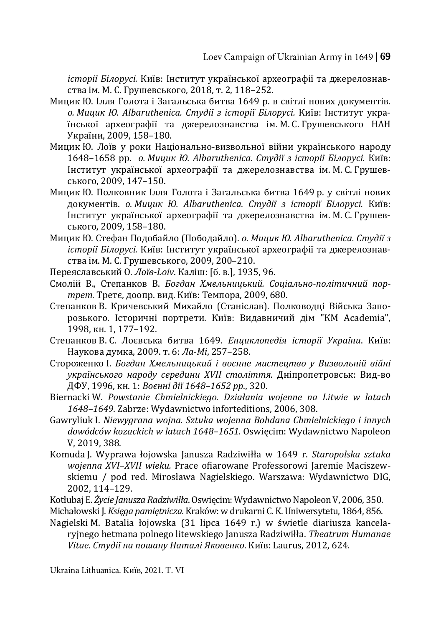*історії Білорусі.* Київ: Інститут української археографії та джерелознавства ім. М. С. Грушевського, 2018, т. 2, 118–252.

- Мицик Ю. Ілля Голота і Загальська битва 1649 р. в світлі нових документів. *о. Мицик Ю. Albaruthenica. Студії з історії Білорусі.* Київ: Інститут української археографії та джерелознавства ім. М. С. Грушевського НАН України, 2009, 158–180.
- Мицик Ю. Лоїв у роки Національно-визвольної війни українського народу 1648–1658 рр. *о. Мицик Ю. Albaruthenica. Студії з історії Білорусі.* Київ: Інститут української археографії та джерелознавства ім. М. С. Грушевського, 2009, 147–150.
- Мицик Ю. Полковник Ілля Голота і Загальська битва 1649 р. у світлі нових документів. *о. Мицик Ю. Albaruthenica. Студії з історії Білорусі.* Київ: Інститут української археографії та джерелознавства ім. М. С. Грушевського, 2009, 158–180.
- Мицик Ю. Стефан Подобайло (Пободайло). *о. Мицик Ю. Albaruthenica. Студії з історії Білорусі.* Київ: Інститут української археографії та джерелознавства ім. М. С. Грушевського, 2009, 200–210.
- Переяславський О. *Лоїв-Loiv*. Каліш: [б. в.], 1935, 96.
- Смолій В., Степанков В. *Богдан Хмельницький. Соціально-політичний портрет.* Третє, доопр. вид. Київ: Темпора, 2009, 680.
- Степанков В. Кричевський Михайло (Станіслав). Полководці Війська Запорозького. Історичні портрети. Київ: Видавничий дім "КМ Academia", 1998, кн. 1, 177–192.
- Степанков В. С. Лоєвська битва 1649. *Енциклопедія історії України*. Київ: Наукова думка, 2009. т. 6: *Ла-Мі*, 257–258.
- Стороженко І. *Богдан Хмельницький і воєнне мистецтво у Визвольній війні українського народу середини XVII століття.* Дніпропетровськ: Вид-во ДФУ, 1996, кн. 1: *Воєнні дії 1648–1652 рр*., 320.
- Biernacki W. *Powstanie Chmielnickiego. Działania wojenne na Litwie w latach 1648–1649*. Zabrze: Wydawnictwo inforteditions, 2006, 308.
- Gawryliuk I. *Niewygrana wojna. Sztuka wojenna Bohdana Chmielnickiego i innych dowódców kozackich w latach 1648–1651.* Oswięcim: Wydawnictwo Napoleon V, 2019, 388.
- Komuda J. Wyprawa łojowska Janusza Radziwiłła w 1649 r. *Staropolska sztuka wojenna XVI–XVII wieku.* Prace ofiarowane Professorowi Jaremie Maciszewskiemu / pod red. Mirosława Nagielskiego. Warszawa: Wydawnictwo DIG, 2002, 114–129.
- Kotłubaj E. *Życie Janusza Radziwiłła*. Oswięcim: Wydawnictwo Napoleon V, 2006, 350.
- Michałowski J. *Księga pamiętnicza.* Kraków: w drukarni C. K. Uniwersytetu, 1864, 856.
- Nagielski M. Batalia łojowska (31 lipca 1649 r.) w świetle diariusza kancelaryjnego hetmana polnego litewskiego Janusza Radziwiłła. *Theatrum Humanae Vitae*. *Студії на пошану Наталі Яковенко*. Київ: Laurus, 2012, 624.

Ukraina Lithuanica. Київ, 2021. Т. VI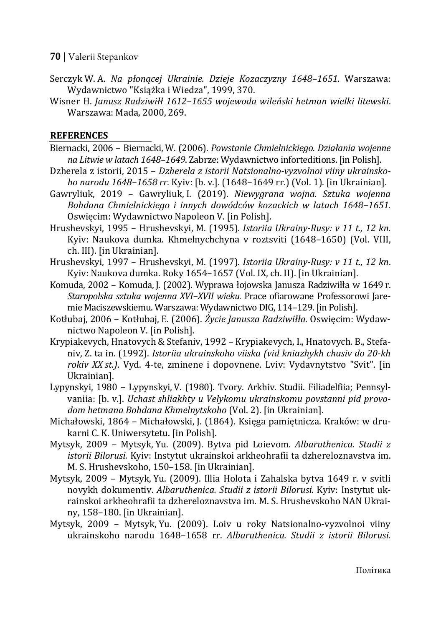- Serczyk W. A. *Na płonącej Ukrainie. Dzieje Kozaczyzny 1648–1651*. Warszawa: Wydawnictwo "Książka i Wiedza", 1999, 370.
- Wisner H. *Janusz Radziwiłł 1612–1655 wojewoda wileński hetman wielki litewski*. Warszawa: Mada, 2000, 269.

### **REFERENCES**

- Biernacki, 2006 Biernacki, W. (2006). *Powstanie Chmielnickiego. Działania wojenne na Litwie w latach 1648–1649*. Zabrze: Wydawnictwo inforteditions. [in Polish].
- Dzherela z istorii, 2015 *Dzherela z istorii Natsionalno-vyzvolnoi viiny ukrainskoho narodu 1648–1658 rr.* Kyiv: [b. v.]. (1648–1649 rr.) (Vol. 1). [in Ukrainian].
- Gawryliuk, 2019 Gawryliuk, I. (2019). *Niewygrana wojna. Sztuka wojenna Bohdana Chmielnickiego i innych dowódców kozackich w latach 1648–1651.* Oswięcim: Wydawnictwo Napoleon V. [in Polish].
- Hrushevskyi, 1995 Hrushevskyi, M. (1995). *Istoriia Ukrainy-Rusy: v 11 t., 12 kn.* Kyiv: Naukova dumka. Khmelnychchyna v roztsviti (1648–1650) (Vol. VIII, ch. III). [in Ukrainian].
- Hrushevskyi, 1997 Hrushevskyi, M. (1997). *Istoriia Ukrainy-Rusy: v 11 t., 12 kn*. Kyiv: Naukova dumka. Roky 1654–1657 (Vol. IX, ch. II). [in Ukrainian].
- Komuda, 2002 Komuda, J. (2002). Wyprawa łojowska Janusza Radziwiłła w 1649 r. *Staropolska sztuka wojenna XVI–XVII wieku.* Prace ofiarowane Professorowi Jaremie Maciszewskiemu. Warszawa: Wydawnictwo DIG, 114–129.[in Polish].
- Kotłubaj, 2006 Kotłubaj, E. (2006). *Życie Janusza Radziwiłła*. Oswięcim: Wydawnictwo Napoleon V. [in Polish].
- Krypiakevych, Hnatovych & Stefaniv, 1992 Krypiakevych, I., Hnatovych. B., Stefaniv, Z. ta in. (1992). *Istoriia ukrainskoho viiska (vid kniazhykh chasiv do 20-kh rokiv XX st.)*. Vyd. 4-te, zminene i dopovnene. Lviv: Vydavnytstvo "Svit". [in Ukrainian].
- Lypynskyi, 1980 Lypynskyi, V. (1980). Tvory. Arkhiv. Studii. Filiadelfiia; Pennsylvaniia: [b. v.]. *Uchast shliakhty u Velykomu ukrainskomu povstanni pid provodom hetmana Bohdana Khmelnytskoho* (Vol. 2). [in Ukrainian].
- Michałowski, 1864 Michałowski, J. (1864). Księga pamiętnicza. Kraków: w drukarni C. K. Uniwersytetu. [in Polish].
- Mytsyk, 2009 Mytsyk, Yu. (2009). Bytva pid Loievom. *Albaruthenica. Studii z istorii Bilorusi.* Kyiv: Instytut ukrainskoi arkheohrafii ta dzhereloznavstva im. M. S. Hrushevskoho, 150–158. [in Ukrainian].
- Mytsyk, 2009 Mytsyk, Yu. (2009). Illia Holota i Zahalska bytva 1649 r. v svitli novykh dokumentiv. *Albaruthenica. Studii z istorii Bilorusi.* Kyiv: Instytut ukrainskoi arkheohrafii ta dzhereloznavstva im. M. S. Hrushevskoho NAN Ukrainy, 158–180. [in Ukrainian].
- Mytsyk, 2009 Mytsyk, Yu. (2009). Loiv u roky Natsionalno-vyzvolnoi viiny ukrainskoho narodu 1648–1658 rr. *Albaruthenica. Studii z istorii Bilorusi.*